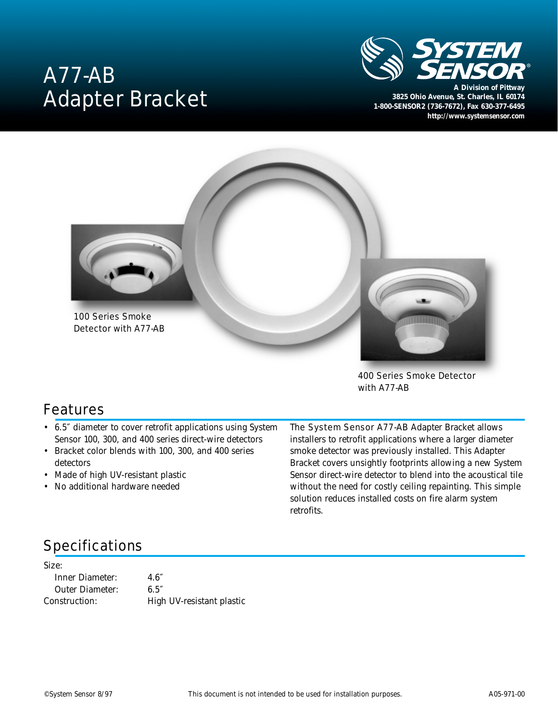# A77-AB Adapter Bracket



**3825 Ohio Avenue, St. Charles, IL 60174 1-800-SENSOR2 (736-7672), Fax 630-377-6495** *http://www.systemsensor.com*



400 Series Smoke Detector with A77-AB

#### Features

- 6.5″ diameter to cover retrofit applications using System Sensor 100, 300, and 400 series direct-wire detectors
- Bracket color blends with 100, 300, and 400 series detectors
- Made of high UV-resistant plastic
- No additional hardware needed

The System Sensor A77-AB Adapter Bracket allows installers to retrofit applications where a larger diameter smoke detector was previously installed. This Adapter Bracket covers unsightly footprints allowing a new System Sensor direct-wire detector to blend into the acoustical tile without the need for costly ceiling repainting. This simple solution reduces installed costs on fire alarm system retrofits.

# Specifications

Size:

Inner Diameter: 4.6″ Outer Diameter: 6.5″

Construction: High UV-resistant plastic